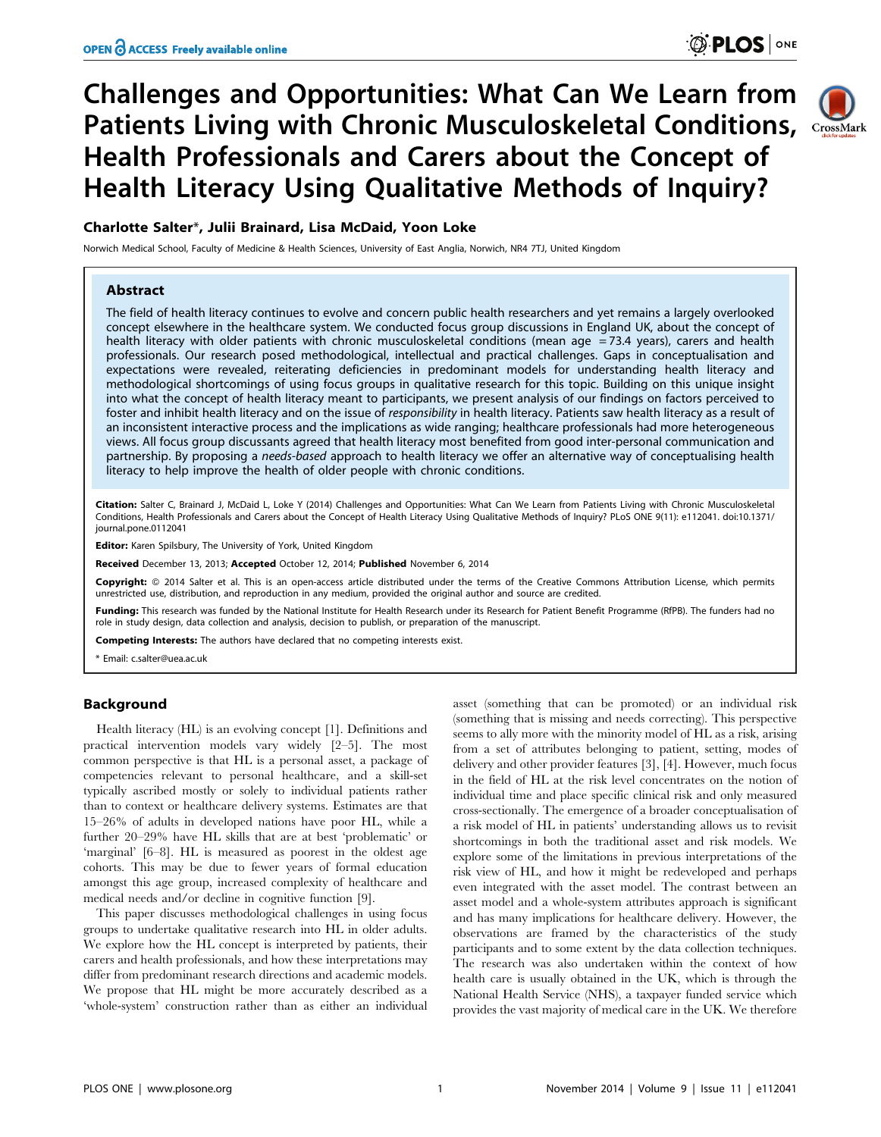# Challenges and Opportunities: What Can We Learn from Patients Living with Chronic Musculoskeletal Conditions, CrossMark Health Professionals and Carers about the Concept of Health Literacy Using Qualitative Methods of Inquiry?

# Charlotte Salter\*, Julii Brainard, Lisa McDaid, Yoon Loke

Norwich Medical School, Faculty of Medicine & Health Sciences, University of East Anglia, Norwich, NR4 7TJ, United Kingdom

# Abstract

The field of health literacy continues to evolve and concern public health researchers and yet remains a largely overlooked concept elsewhere in the healthcare system. We conducted focus group discussions in England UK, about the concept of health literacy with older patients with chronic musculoskeletal conditions (mean age  $= 73.4$  years), carers and health professionals. Our research posed methodological, intellectual and practical challenges. Gaps in conceptualisation and expectations were revealed, reiterating deficiencies in predominant models for understanding health literacy and methodological shortcomings of using focus groups in qualitative research for this topic. Building on this unique insight into what the concept of health literacy meant to participants, we present analysis of our findings on factors perceived to foster and inhibit health literacy and on the issue of responsibility in health literacy. Patients saw health literacy as a result of an inconsistent interactive process and the implications as wide ranging; healthcare professionals had more heterogeneous views. All focus group discussants agreed that health literacy most benefited from good inter-personal communication and partnership. By proposing a needs-based approach to health literacy we offer an alternative way of conceptualising health literacy to help improve the health of older people with chronic conditions.

Citation: Salter C, Brainard J, McDaid L, Loke Y (2014) Challenges and Opportunities: What Can We Learn from Patients Living with Chronic Musculoskeletal Conditions, Health Professionals and Carers about the Concept of Health Literacy Using Qualitative Methods of Inquiry? PLoS ONE 9(11): e112041. doi:10.1371/ journal.pone.0112041

**Editor:** Karen Spilsbury, The University of York, United Kingdom

Received December 13, 2013; Accepted October 12, 2014; Published November 6, 2014

Copyright: © 2014 Salter et al. This is an open-access article distributed under the terms of the [Creative Commons Attribution License,](http://creativecommons.org/licenses/by/4.0/) which permits unrestricted use, distribution, and reproduction in any medium, provided the original author and source are credited.

Funding: This research was funded by the National Institute for Health Research under its Research for Patient Benefit Programme (RfPB). The funders had no role in study design, data collection and analysis, decision to publish, or preparation of the manuscript.

Competing Interests: The authors have declared that no competing interests exist.

\* Email: c.salter@uea.ac.uk

#### Background

Health literacy (HL) is an evolving concept [1]. Definitions and practical intervention models vary widely [2–5]. The most common perspective is that HL is a personal asset, a package of competencies relevant to personal healthcare, and a skill-set typically ascribed mostly or solely to individual patients rather than to context or healthcare delivery systems. Estimates are that 15–26% of adults in developed nations have poor HL, while a further 20–29% have HL skills that are at best 'problematic' or 'marginal' [6–8]. HL is measured as poorest in the oldest age cohorts. This may be due to fewer years of formal education amongst this age group, increased complexity of healthcare and medical needs and/or decline in cognitive function [9].

This paper discusses methodological challenges in using focus groups to undertake qualitative research into HL in older adults. We explore how the HL concept is interpreted by patients, their carers and health professionals, and how these interpretations may differ from predominant research directions and academic models. We propose that HL might be more accurately described as a 'whole-system' construction rather than as either an individual

asset (something that can be promoted) or an individual risk (something that is missing and needs correcting). This perspective seems to ally more with the minority model of HL as a risk, arising from a set of attributes belonging to patient, setting, modes of delivery and other provider features [3], [4]. However, much focus in the field of HL at the risk level concentrates on the notion of individual time and place specific clinical risk and only measured cross-sectionally. The emergence of a broader conceptualisation of a risk model of HL in patients' understanding allows us to revisit shortcomings in both the traditional asset and risk models. We explore some of the limitations in previous interpretations of the risk view of HL, and how it might be redeveloped and perhaps even integrated with the asset model. The contrast between an asset model and a whole-system attributes approach is significant and has many implications for healthcare delivery. However, the observations are framed by the characteristics of the study participants and to some extent by the data collection techniques. The research was also undertaken within the context of how health care is usually obtained in the UK, which is through the National Health Service (NHS), a taxpayer funded service which provides the vast majority of medical care in the UK. We therefore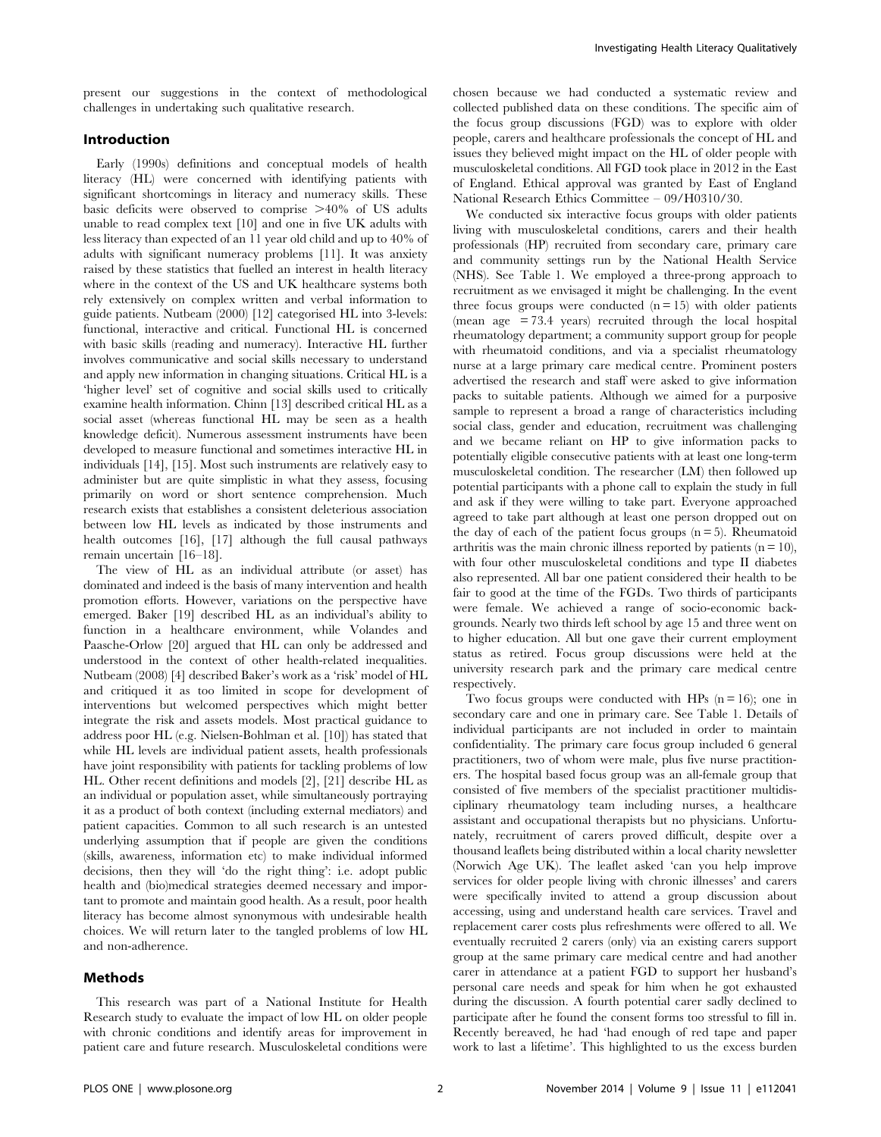present our suggestions in the context of methodological challenges in undertaking such qualitative research.

# Introduction

Early (1990s) definitions and conceptual models of health literacy (HL) were concerned with identifying patients with significant shortcomings in literacy and numeracy skills. These basic deficits were observed to comprise  $>40\%$  of US adults unable to read complex text [10] and one in five UK adults with less literacy than expected of an 11 year old child and up to 40% of adults with significant numeracy problems [11]. It was anxiety raised by these statistics that fuelled an interest in health literacy where in the context of the US and UK healthcare systems both rely extensively on complex written and verbal information to guide patients. Nutbeam (2000) [12] categorised HL into 3-levels: functional, interactive and critical. Functional HL is concerned with basic skills (reading and numeracy). Interactive HL further involves communicative and social skills necessary to understand and apply new information in changing situations. Critical HL is a 'higher level' set of cognitive and social skills used to critically examine health information. Chinn [13] described critical HL as a social asset (whereas functional HL may be seen as a health knowledge deficit). Numerous assessment instruments have been developed to measure functional and sometimes interactive HL in individuals [14], [15]. Most such instruments are relatively easy to administer but are quite simplistic in what they assess, focusing primarily on word or short sentence comprehension. Much research exists that establishes a consistent deleterious association between low HL levels as indicated by those instruments and health outcomes [16], [17] although the full causal pathways remain uncertain [16–18].

The view of HL as an individual attribute (or asset) has dominated and indeed is the basis of many intervention and health promotion efforts. However, variations on the perspective have emerged. Baker [19] described HL as an individual's ability to function in a healthcare environment, while Volandes and Paasche-Orlow [20] argued that HL can only be addressed and understood in the context of other health-related inequalities. Nutbeam (2008) [4] described Baker's work as a 'risk' model of HL and critiqued it as too limited in scope for development of interventions but welcomed perspectives which might better integrate the risk and assets models. Most practical guidance to address poor HL (e.g. Nielsen-Bohlman et al. [10]) has stated that while HL levels are individual patient assets, health professionals have joint responsibility with patients for tackling problems of low HL. Other recent definitions and models [2], [21] describe HL as an individual or population asset, while simultaneously portraying it as a product of both context (including external mediators) and patient capacities. Common to all such research is an untested underlying assumption that if people are given the conditions (skills, awareness, information etc) to make individual informed decisions, then they will 'do the right thing': i.e. adopt public health and (bio)medical strategies deemed necessary and important to promote and maintain good health. As a result, poor health literacy has become almost synonymous with undesirable health choices. We will return later to the tangled problems of low HL and non-adherence.

# Methods

This research was part of a National Institute for Health Research study to evaluate the impact of low HL on older people with chronic conditions and identify areas for improvement in patient care and future research. Musculoskeletal conditions were

chosen because we had conducted a systematic review and collected published data on these conditions. The specific aim of the focus group discussions (FGD) was to explore with older people, carers and healthcare professionals the concept of HL and issues they believed might impact on the HL of older people with musculoskeletal conditions. All FGD took place in 2012 in the East of England. Ethical approval was granted by East of England National Research Ethics Committee – 09/H0310/30.

We conducted six interactive focus groups with older patients living with musculoskeletal conditions, carers and their health professionals (HP) recruited from secondary care, primary care and community settings run by the National Health Service (NHS). See Table 1. We employed a three-prong approach to recruitment as we envisaged it might be challenging. In the event three focus groups were conducted  $(n = 15)$  with older patients (mean age  $= 73.4$  years) recruited through the local hospital rheumatology department; a community support group for people with rheumatoid conditions, and via a specialist rheumatology nurse at a large primary care medical centre. Prominent posters advertised the research and staff were asked to give information packs to suitable patients. Although we aimed for a purposive sample to represent a broad a range of characteristics including social class, gender and education, recruitment was challenging and we became reliant on HP to give information packs to potentially eligible consecutive patients with at least one long-term musculoskeletal condition. The researcher (LM) then followed up potential participants with a phone call to explain the study in full and ask if they were willing to take part. Everyone approached agreed to take part although at least one person dropped out on the day of each of the patient focus groups  $(n = 5)$ . Rheumatoid arthritis was the main chronic illness reported by patients  $(n = 10)$ , with four other musculoskeletal conditions and type II diabetes also represented. All bar one patient considered their health to be fair to good at the time of the FGDs. Two thirds of participants were female. We achieved a range of socio-economic backgrounds. Nearly two thirds left school by age 15 and three went on to higher education. All but one gave their current employment status as retired. Focus group discussions were held at the university research park and the primary care medical centre respectively.

Two focus groups were conducted with HPs  $(n = 16)$ ; one in secondary care and one in primary care. See Table 1. Details of individual participants are not included in order to maintain confidentiality. The primary care focus group included 6 general practitioners, two of whom were male, plus five nurse practitioners. The hospital based focus group was an all-female group that consisted of five members of the specialist practitioner multidisciplinary rheumatology team including nurses, a healthcare assistant and occupational therapists but no physicians. Unfortunately, recruitment of carers proved difficult, despite over a thousand leaflets being distributed within a local charity newsletter (Norwich Age UK). The leaflet asked 'can you help improve services for older people living with chronic illnesses' and carers were specifically invited to attend a group discussion about accessing, using and understand health care services. Travel and replacement carer costs plus refreshments were offered to all. We eventually recruited 2 carers (only) via an existing carers support group at the same primary care medical centre and had another carer in attendance at a patient FGD to support her husband's personal care needs and speak for him when he got exhausted during the discussion. A fourth potential carer sadly declined to participate after he found the consent forms too stressful to fill in. Recently bereaved, he had 'had enough of red tape and paper work to last a lifetime'. This highlighted to us the excess burden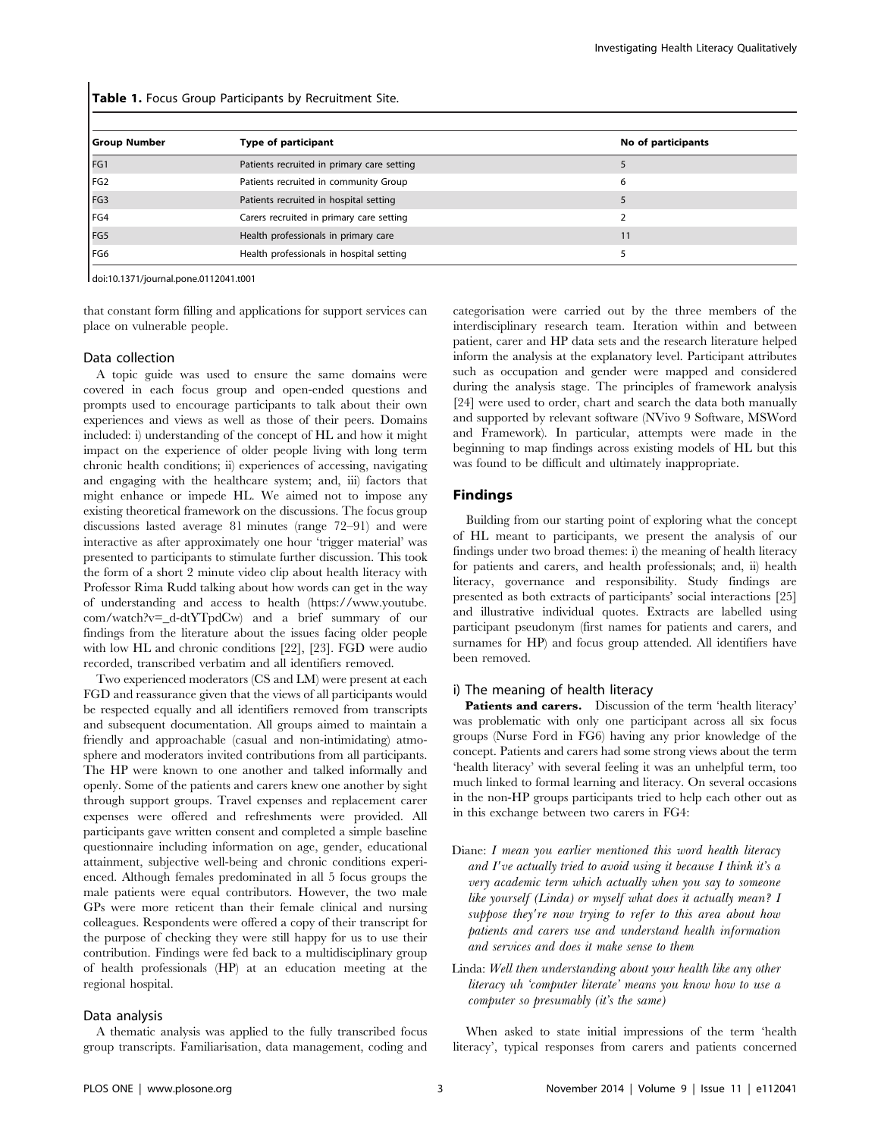| <b>Group Number</b> | Type of participant                        | No of participants |
|---------------------|--------------------------------------------|--------------------|
| FG1                 | Patients recruited in primary care setting |                    |
| FG <sub>2</sub>     | Patients recruited in community Group      | 6                  |
| FG <sub>3</sub>     | Patients recruited in hospital setting     |                    |
| FG4                 | Carers recruited in primary care setting   |                    |
| FG5                 | Health professionals in primary care       | 11                 |
| FG6                 | Health professionals in hospital setting   |                    |

Table 1. Focus Group Participants by Recruitment Site.

doi:10.1371/journal.pone.0112041.t001

that constant form filling and applications for support services can place on vulnerable people.

#### Data collection

A topic guide was used to ensure the same domains were covered in each focus group and open-ended questions and prompts used to encourage participants to talk about their own experiences and views as well as those of their peers. Domains included: i) understanding of the concept of HL and how it might impact on the experience of older people living with long term chronic health conditions; ii) experiences of accessing, navigating and engaging with the healthcare system; and, iii) factors that might enhance or impede HL. We aimed not to impose any existing theoretical framework on the discussions. The focus group discussions lasted average 81 minutes (range 72–91) and were interactive as after approximately one hour 'trigger material' was presented to participants to stimulate further discussion. This took the form of a short 2 minute video clip about health literacy with Professor Rima Rudd talking about how words can get in the way of understanding and access to health [\(https://www.youtube.](https://www.youtube.com/watch?v=_d-dtYTpdCw) [com/watch?v=\\_d-dtYTpdCw\)](https://www.youtube.com/watch?v=_d-dtYTpdCw) and a brief summary of our findings from the literature about the issues facing older people with low HL and chronic conditions [22], [23]. FGD were audio recorded, transcribed verbatim and all identifiers removed.

Two experienced moderators (CS and LM) were present at each FGD and reassurance given that the views of all participants would be respected equally and all identifiers removed from transcripts and subsequent documentation. All groups aimed to maintain a friendly and approachable (casual and non-intimidating) atmosphere and moderators invited contributions from all participants. The HP were known to one another and talked informally and openly. Some of the patients and carers knew one another by sight through support groups. Travel expenses and replacement carer expenses were offered and refreshments were provided. All participants gave written consent and completed a simple baseline questionnaire including information on age, gender, educational attainment, subjective well-being and chronic conditions experienced. Although females predominated in all 5 focus groups the male patients were equal contributors. However, the two male GPs were more reticent than their female clinical and nursing colleagues. Respondents were offered a copy of their transcript for the purpose of checking they were still happy for us to use their contribution. Findings were fed back to a multidisciplinary group of health professionals (HP) at an education meeting at the regional hospital.

### Data analysis

A thematic analysis was applied to the fully transcribed focus group transcripts. Familiarisation, data management, coding and categorisation were carried out by the three members of the interdisciplinary research team. Iteration within and between patient, carer and HP data sets and the research literature helped inform the analysis at the explanatory level. Participant attributes such as occupation and gender were mapped and considered during the analysis stage. The principles of framework analysis [24] were used to order, chart and search the data both manually and supported by relevant software (NVivo 9 Software, MSWord and Framework). In particular, attempts were made in the beginning to map findings across existing models of HL but this was found to be difficult and ultimately inappropriate.

# Findings

Building from our starting point of exploring what the concept of HL meant to participants, we present the analysis of our findings under two broad themes: i) the meaning of health literacy for patients and carers, and health professionals; and, ii) health literacy, governance and responsibility. Study findings are presented as both extracts of participants' social interactions [25] and illustrative individual quotes. Extracts are labelled using participant pseudonym (first names for patients and carers, and surnames for HP) and focus group attended. All identifiers have been removed.

### i) The meaning of health literacy

Patients and carers. Discussion of the term 'health literacy' was problematic with only one participant across all six focus groups (Nurse Ford in FG6) having any prior knowledge of the concept. Patients and carers had some strong views about the term 'health literacy' with several feeling it was an unhelpful term, too much linked to formal learning and literacy. On several occasions in the non-HP groups participants tried to help each other out as in this exchange between two carers in FG4:

- Diane: I mean you earlier mentioned this word health literacy and I've actually tried to avoid using it because I think it's a very academic term which actually when you say to someone like yourself (Linda) or myself what does it actually mean? I suppose they're now trying to refer to this area about how patients and carers use and understand health information and services and does it make sense to them
- Linda: Well then understanding about your health like any other literacy uh 'computer literate' means you know how to use a computer so presumably (it's the same)

When asked to state initial impressions of the term 'health literacy', typical responses from carers and patients concerned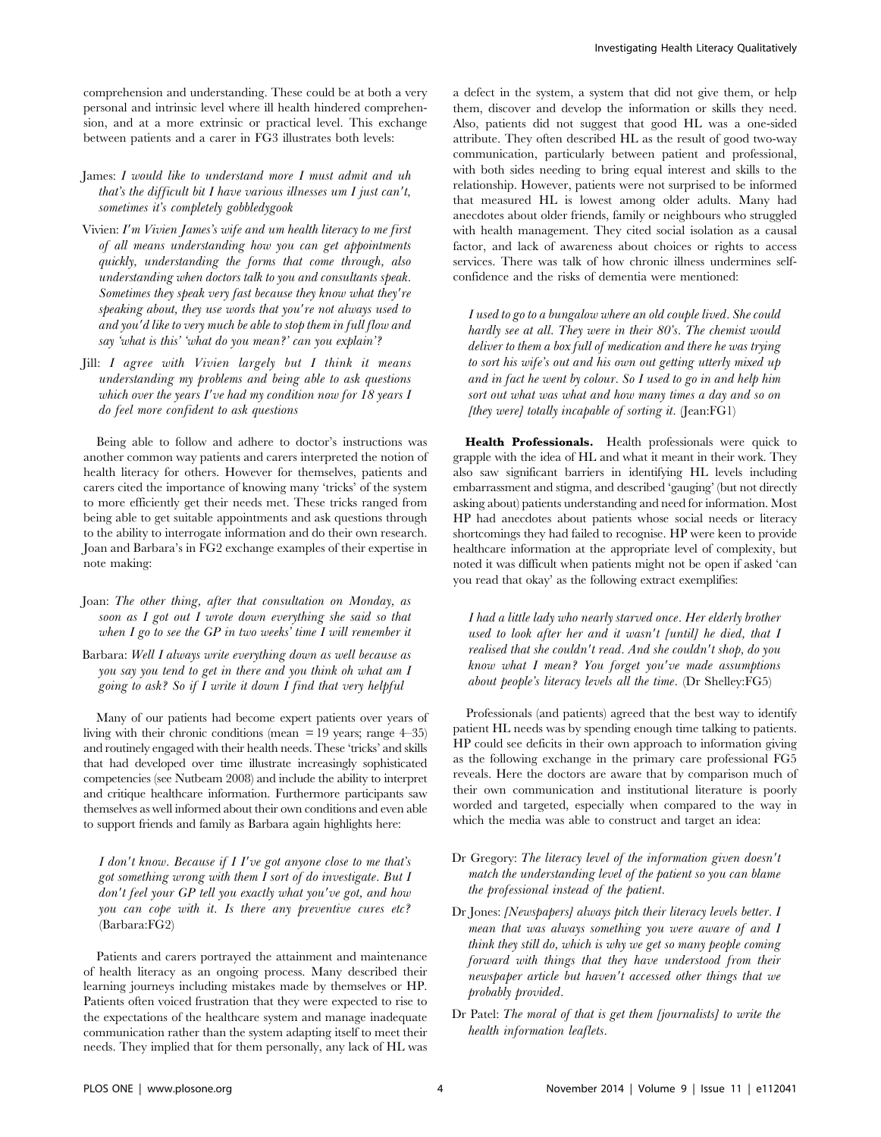comprehension and understanding. These could be at both a very personal and intrinsic level where ill health hindered comprehension, and at a more extrinsic or practical level. This exchange between patients and a carer in FG3 illustrates both levels:

- James: I would like to understand more I must admit and uh that's the difficult bit I have various illnesses um I just can't, sometimes it's completely gobbledygook
- Vivien: I'm Vivien James's wife and um health literacy to me first of all means understanding how you can get appointments quickly, understanding the forms that come through, also understanding when doctors talk to you and consultants speak. Sometimes they speak very fast because they know what they're speaking about, they use words that you're not always used to and you'd like to very much be able to stop them in full flow and say 'what is this' 'what do you mean?' can you explain'?
- Jill: I agree with Vivien largely but I think it means understanding my problems and being able to ask questions which over the years  $I'$ ve had my condition now for 18 years  $I$ do feel more confident to ask questions

Being able to follow and adhere to doctor's instructions was another common way patients and carers interpreted the notion of health literacy for others. However for themselves, patients and carers cited the importance of knowing many 'tricks' of the system to more efficiently get their needs met. These tricks ranged from being able to get suitable appointments and ask questions through to the ability to interrogate information and do their own research. Joan and Barbara's in FG2 exchange examples of their expertise in note making:

- Joan: The other thing, after that consultation on Monday, as soon as I got out I wrote down everything she said so that when I go to see the GP in two weeks' time I will remember it
- Barbara: Well I always write everything down as well because as you say you tend to get in there and you think oh what am I going to ask? So if I write it down I find that very helpful

Many of our patients had become expert patients over years of living with their chronic conditions (mean  $= 19$  years; range  $4-35$ ) and routinely engaged with their health needs. These 'tricks' and skills that had developed over time illustrate increasingly sophisticated competencies (see Nutbeam 2008) and include the ability to interpret and critique healthcare information. Furthermore participants saw themselves as well informed about their own conditions and even able to support friends and family as Barbara again highlights here:

 $I$  don't know. Because if  $I$   $I'$ ve got anyone close to me that's got something wrong with them I sort of do investigate. But I  $don't feel your GP tell you exactly what you've got, and how$ you can cope with it. Is there any preventive cures etc? (Barbara:FG2)

Patients and carers portrayed the attainment and maintenance of health literacy as an ongoing process. Many described their learning journeys including mistakes made by themselves or HP. Patients often voiced frustration that they were expected to rise to the expectations of the healthcare system and manage inadequate communication rather than the system adapting itself to meet their needs. They implied that for them personally, any lack of HL was a defect in the system, a system that did not give them, or help them, discover and develop the information or skills they need. Also, patients did not suggest that good HL was a one-sided attribute. They often described HL as the result of good two-way communication, particularly between patient and professional, with both sides needing to bring equal interest and skills to the relationship. However, patients were not surprised to be informed that measured HL is lowest among older adults. Many had anecdotes about older friends, family or neighbours who struggled with health management. They cited social isolation as a causal factor, and lack of awareness about choices or rights to access services. There was talk of how chronic illness undermines selfconfidence and the risks of dementia were mentioned:

I used to go to a bungalow where an old couple lived. She could hardly see at all. They were in their 80's. The chemist would deliver to them a box full of medication and there he was trying to sort his wife's out and his own out getting utterly mixed up and in fact he went by colour. So I used to go in and help him sort out what was what and how many times a day and so on [they were] totally incapable of sorting it.  $(learn:FG1)$ ]

Health Professionals. Health professionals were quick to grapple with the idea of HL and what it meant in their work. They also saw significant barriers in identifying HL levels including embarrassment and stigma, and described 'gauging' (but not directly asking about) patients understanding and need for information. Most HP had anecdotes about patients whose social needs or literacy shortcomings they had failed to recognise. HP were keen to provide healthcare information at the appropriate level of complexity, but noted it was difficult when patients might not be open if asked 'can you read that okay' as the following extract exemplifies:

I had a little lady who nearly starved once. Her elderly brother used to look after her and it wasn't [until] he died, that I realised that she couldn't read. And she couldn't shop, do you  $known$  what  $I$  mean? You forget you've made assumptions about people's literacy levels all the time. (Dr Shelley:FG5)

Professionals (and patients) agreed that the best way to identify patient HL needs was by spending enough time talking to patients. HP could see deficits in their own approach to information giving as the following exchange in the primary care professional FG5 reveals. Here the doctors are aware that by comparison much of their own communication and institutional literature is poorly worded and targeted, especially when compared to the way in which the media was able to construct and target an idea:

- Dr Gregory: The literacy level of the information given doesn't match the understanding level of the patient so you can blame the professional instead of the patient.
- Dr Jones: [Newspapers] always pitch their literacy levels better. I mean that was always something you were aware of and I think they still do, which is why we get so many people coming forward with things that they have understood from their newspaper article but haven't accessed other things that we probably provided.
- Dr Patel: The moral of that is get them [journalists] to write the health information leaflets.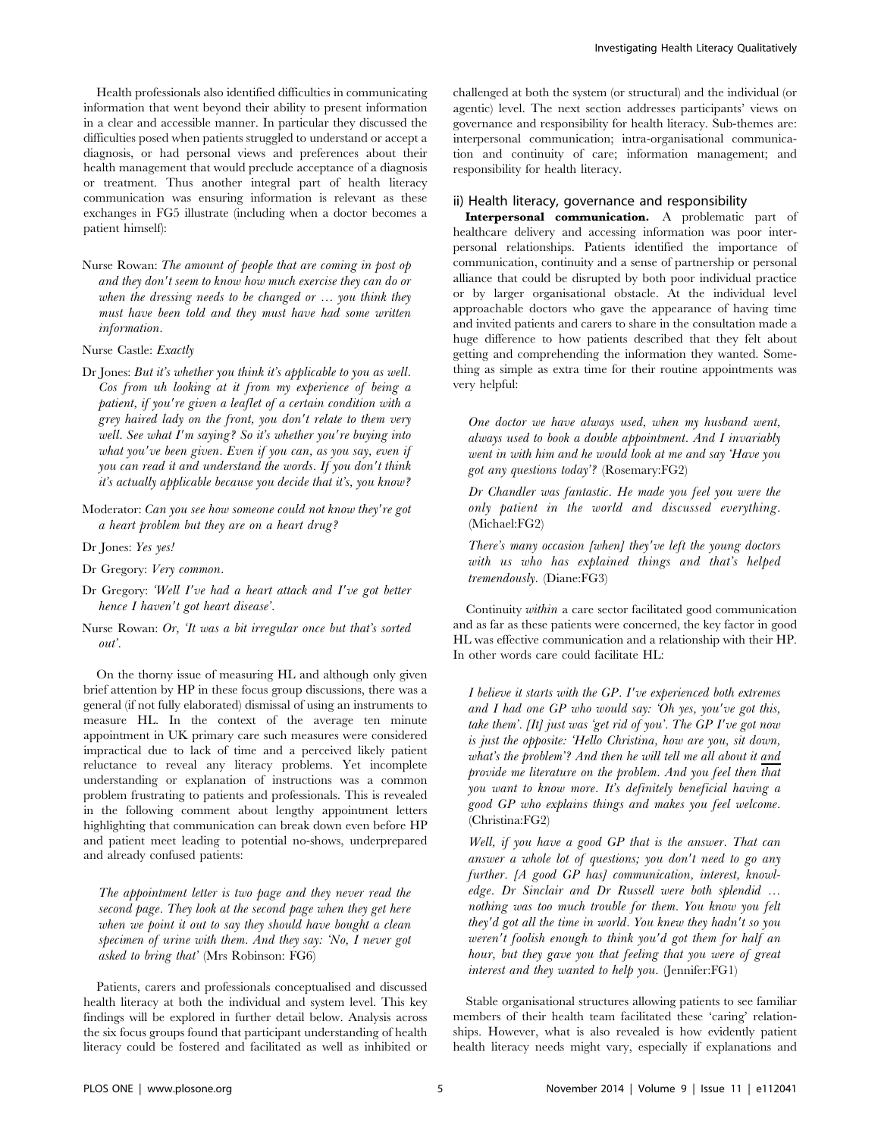Health professionals also identified difficulties in communicating information that went beyond their ability to present information in a clear and accessible manner. In particular they discussed the difficulties posed when patients struggled to understand or accept a diagnosis, or had personal views and preferences about their health management that would preclude acceptance of a diagnosis or treatment. Thus another integral part of health literacy communication was ensuring information is relevant as these exchanges in FG5 illustrate (including when a doctor becomes a patient himself):

Nurse Rowan: The amount of people that are coming in post op and they don't seem to know how much exercise they can do or when the dressing needs to be changed or ... you think they must have been told and they must have had some written information.

Nurse Castle: Exactly

- Dr Jones: But it's whether you think it's applicable to you as well. Cos from uh looking at it from my experience of being a patient, if you're given a leaflet of a certain condition with a grey haired lady on the front, you don't relate to them very well. See what  $I'm$  saying? So it's whether you're buying into what you've been given. Even if you can, as you say, even if you can read it and understand the words. If you don't think it's actually applicable because you decide that it's, you know?
- Moderator: Can you see how someone could not know they're got a heart problem but they are on a heart drug?
- Dr Jones: Yes yes!
- Dr Gregory: Very common.
- Dr Gregory: 'Well I've had a heart attack and I've got better hence  $I$  haven't got heart disease'.
- Nurse Rowan: Or, 'It was a bit irregular once but that's sorted out'.

On the thorny issue of measuring HL and although only given brief attention by HP in these focus group discussions, there was a general (if not fully elaborated) dismissal of using an instruments to measure HL. In the context of the average ten minute appointment in UK primary care such measures were considered impractical due to lack of time and a perceived likely patient reluctance to reveal any literacy problems. Yet incomplete understanding or explanation of instructions was a common problem frustrating to patients and professionals. This is revealed in the following comment about lengthy appointment letters highlighting that communication can break down even before HP and patient meet leading to potential no-shows, underprepared and already confused patients:

The appointment letter is two page and they never read the second page. They look at the second page when they get here when we point it out to say they should have bought a clean specimen of urine with them. And they say: 'No, I never got asked to bring that' (Mrs Robinson: FG6)

Patients, carers and professionals conceptualised and discussed health literacy at both the individual and system level. This key findings will be explored in further detail below. Analysis across the six focus groups found that participant understanding of health literacy could be fostered and facilitated as well as inhibited or challenged at both the system (or structural) and the individual (or agentic) level. The next section addresses participants' views on governance and responsibility for health literacy. Sub-themes are: interpersonal communication; intra-organisational communication and continuity of care; information management; and responsibility for health literacy.

#### ii) Health literacy, governance and responsibility

Interpersonal communication. A problematic part of healthcare delivery and accessing information was poor interpersonal relationships. Patients identified the importance of communication, continuity and a sense of partnership or personal alliance that could be disrupted by both poor individual practice or by larger organisational obstacle. At the individual level approachable doctors who gave the appearance of having time and invited patients and carers to share in the consultation made a huge difference to how patients described that they felt about getting and comprehending the information they wanted. Something as simple as extra time for their routine appointments was very helpful:

One doctor we have always used, when my husband went, always used to book a double appointment. And I invariably went in with him and he would look at me and say 'Have you got any questions today'? (Rosemary:FG2)

Dr Chandler was fantastic. He made you feel you were the only patient in the world and discussed everything. (Michael:FG2)

There's many occasion [when] they've left the young doctors with us who has explained things and that's helped tremendously. (Diane:FG3)

Continuity within a care sector facilitated good communication and as far as these patients were concerned, the key factor in good HL was effective communication and a relationship with their HP. In other words care could facilitate HL:

I believe it starts with the  $GP$ . I've experienced both extremes and I had one  $GP$  who would say: 'Oh yes, you've got this, take them'. [It] just was 'get rid of you'. The GP I've got now is just the opposite: 'Hello Christina, how are you, sit down, what's the problem'? And then he will tell me all about it and provide me literature on the problem. And you feel then that you want to know more. It's definitely beneficial having a good GP who explains things and makes you feel welcome. (Christina:FG2)

Well, if you have a good GP that is the answer. That can answer a whole lot of questions; you don't need to go any further. [A good GP has] communication, interest, knowledge. Dr Sinclair and Dr Russell were both splendid … nothing was too much trouble for them. You know you felt they'd got all the time in world. You knew they hadn't so you weren't foolish enough to think you'd got them for half an hour, but they gave you that feeling that you were of great interest and they wanted to help you. (Jennifer:FG1)

Stable organisational structures allowing patients to see familiar members of their health team facilitated these 'caring' relationships. However, what is also revealed is how evidently patient health literacy needs might vary, especially if explanations and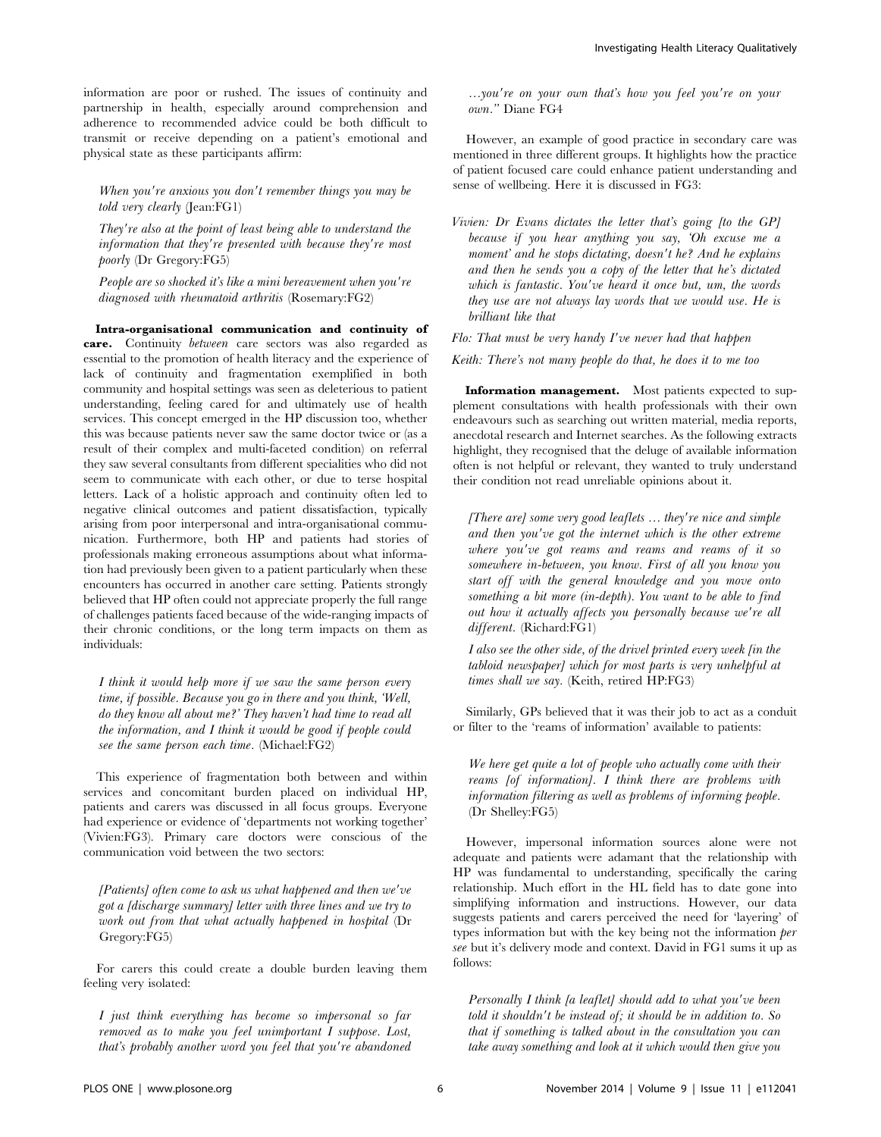information are poor or rushed. The issues of continuity and partnership in health, especially around comprehension and adherence to recommended advice could be both difficult to transmit or receive depending on a patient's emotional and physical state as these participants affirm:

When you're anxious you don't remember things you may be told very clearly (Jean:FG1)

They're also at the point of least being able to understand the information that they're presented with because they're most poorly (Dr Gregory:FG5)

People are so shocked it's like a mini bereavement when you're diagnosed with rheumatoid arthritis (Rosemary:FG2)

Intra-organisational communication and continuity of care. Continuity between care sectors was also regarded as essential to the promotion of health literacy and the experience of lack of continuity and fragmentation exemplified in both community and hospital settings was seen as deleterious to patient understanding, feeling cared for and ultimately use of health services. This concept emerged in the HP discussion too, whether this was because patients never saw the same doctor twice or (as a result of their complex and multi-faceted condition) on referral they saw several consultants from different specialities who did not seem to communicate with each other, or due to terse hospital letters. Lack of a holistic approach and continuity often led to negative clinical outcomes and patient dissatisfaction, typically arising from poor interpersonal and intra-organisational communication. Furthermore, both HP and patients had stories of professionals making erroneous assumptions about what information had previously been given to a patient particularly when these encounters has occurred in another care setting. Patients strongly believed that HP often could not appreciate properly the full range of challenges patients faced because of the wide-ranging impacts of their chronic conditions, or the long term impacts on them as individuals:

I think it would help more if we saw the same person every time, if possible. Because you go in there and you think, 'Well, do they know all about me?' They haven't had time to read all the information, and I think it would be good if people could see the same person each time. (Michael:FG2)

This experience of fragmentation both between and within services and concomitant burden placed on individual HP, patients and carers was discussed in all focus groups. Everyone had experience or evidence of 'departments not working together' (Vivien:FG3). Primary care doctors were conscious of the communication void between the two sectors:

 $[Patients]$  often come to ask us what happened and then we've got a [discharge summary] letter with three lines and we try to work out from that what actually happened in hospital (Dr Gregory:FG5)

For carers this could create a double burden leaving them feeling very isolated:

I just think everything has become so impersonal so far removed as to make you feel unimportant I suppose. Lost, that's probably another word you feel that you're abandoned

 $...$ you're on your own that's how you feel you're on your own.'' Diane FG4

However, an example of good practice in secondary care was mentioned in three different groups. It highlights how the practice of patient focused care could enhance patient understanding and sense of wellbeing. Here it is discussed in FG3:

Vivien: Dr Evans dictates the letter that's going [to the GP] because if you hear anything you say, 'Oh excuse me a moment' and he stops dictating, doesn't he? And he explains and then he sends you a copy of the letter that he's dictated which is fantastic. You've heard it once but, um, the words they use are not always lay words that we would use. He is brilliant like that

Flo: That must be very handy  $I'$ ve never had that happen

Keith: There's not many people do that, he does it to me too

Information management. Most patients expected to supplement consultations with health professionals with their own endeavours such as searching out written material, media reports, anecdotal research and Internet searches. As the following extracts highlight, they recognised that the deluge of available information often is not helpful or relevant, they wanted to truly understand their condition not read unreliable opinions about it.

[There are] some very good leaflets  $\ldots$  they're nice and simple and then you've got the internet which is the other extreme where  $\gamma \circ u'$  ve got reams and reams and reams of it so somewhere in-between, you know. First of all you know you start off with the general knowledge and you move onto something a bit more (in-depth). You want to be able to find out how it actually affects you personally because we're all different. (Richard:FG1)

I also see the other side, of the drivel printed every week [in the tabloid newspaper] which for most parts is very unhelpful at times shall we say. (Keith, retired HP:FG3)

Similarly, GPs believed that it was their job to act as a conduit or filter to the 'reams of information' available to patients:

We here get quite a lot of people who actually come with their reams [of information]. I think there are problems with information filtering as well as problems of informing people. (Dr Shelley:FG5)

However, impersonal information sources alone were not adequate and patients were adamant that the relationship with HP was fundamental to understanding, specifically the caring relationship. Much effort in the HL field has to date gone into simplifying information and instructions. However, our data suggests patients and carers perceived the need for 'layering' of types information but with the key being not the information per see but it's delivery mode and context. David in FG1 sums it up as follows:

Personally I think  $[a$  leaflet] should add to what you've been told it shouldn't be instead of; it should be in addition to. So that if something is talked about in the consultation you can take away something and look at it which would then give you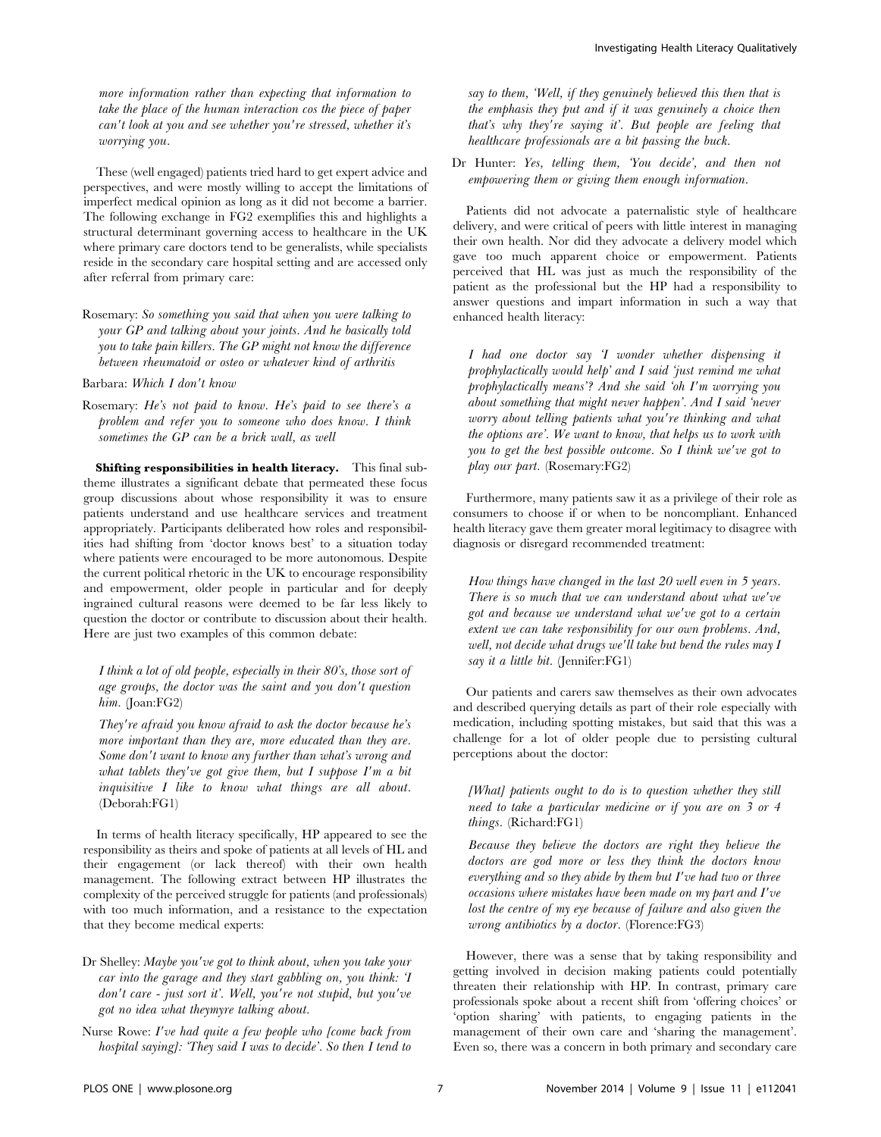more information rather than expecting that information to take the place of the human interaction cos the piece of paper  $can't look at you and see whether you're stressed, whether it's$ worrying you.

These (well engaged) patients tried hard to get expert advice and perspectives, and were mostly willing to accept the limitations of imperfect medical opinion as long as it did not become a barrier. The following exchange in FG2 exemplifies this and highlights a structural determinant governing access to healthcare in the UK where primary care doctors tend to be generalists, while specialists reside in the secondary care hospital setting and are accessed only after referral from primary care:

Rosemary: So something you said that when you were talking to your GP and talking about your joints. And he basically told you to take pain killers. The GP might not know the difference between rheumatoid or osteo or whatever kind of arthritis

Barbara: Which I don't know

Rosemary: He's not paid to know. He's paid to see there's a problem and refer you to someone who does know. I think sometimes the GP can be a brick wall, as well

Shifting responsibilities in health literacy. This final subtheme illustrates a significant debate that permeated these focus group discussions about whose responsibility it was to ensure patients understand and use healthcare services and treatment appropriately. Participants deliberated how roles and responsibilities had shifting from 'doctor knows best' to a situation today where patients were encouraged to be more autonomous. Despite the current political rhetoric in the UK to encourage responsibility and empowerment, older people in particular and for deeply ingrained cultural reasons were deemed to be far less likely to question the doctor or contribute to discussion about their health. Here are just two examples of this common debate:

I think a lot of old people, especially in their 80's, those sort of age groups, the doctor was the saint and you don't question him. (Joan:FG2)

They're afraid you know afraid to ask the doctor because he's more important than they are, more educated than they are. Some don't want to know any further than what's wrong and what tablets they've got give them, but I suppose I'm a bit inquisitive I like to know what things are all about. (Deborah:FG1)

In terms of health literacy specifically, HP appeared to see the responsibility as theirs and spoke of patients at all levels of HL and their engagement (or lack thereof) with their own health management. The following extract between HP illustrates the complexity of the perceived struggle for patients (and professionals) with too much information, and a resistance to the expectation that they become medical experts:

- Dr Shelley: Maybe you've got to think about, when you take your car into the garage and they start gabbling on, you think: 'I  $don't care - just sort it'. Well, you're not stupid, but you've$ got no idea what theymyre talking about.
- Nurse Rowe: I've had quite a few people who [come back from hospital saying]: 'They said I was to decide'. So then I tend to

say to them, 'Well, if they genuinely believed this then that is the emphasis they put and if it was genuinely a choice then that's why they're saying it'. But people are feeling that healthcare professionals are a bit passing the buck.

Dr Hunter: Yes, telling them, 'You decide', and then not empowering them or giving them enough information.

Patients did not advocate a paternalistic style of healthcare delivery, and were critical of peers with little interest in managing their own health. Nor did they advocate a delivery model which gave too much apparent choice or empowerment. Patients perceived that HL was just as much the responsibility of the patient as the professional but the HP had a responsibility to answer questions and impart information in such a way that enhanced health literacy:

I had one doctor say 'I wonder whether dispensing it prophylactically would help' and I said 'just remind me what prophylactically means'? And she said 'oh  $I'm$  worrying you about something that might never happen'. And I said 'never worry about telling patients what you're thinking and what the options are'. We want to know, that helps us to work with you to get the best possible outcome. So I think we've got to play our part. (Rosemary:FG2)

Furthermore, many patients saw it as a privilege of their role as consumers to choose if or when to be noncompliant. Enhanced health literacy gave them greater moral legitimacy to disagree with diagnosis or disregard recommended treatment:

How things have changed in the last 20 well even in 5 years. There is so much that we can understand about what we've got and because we understand what we've got to a certain extent we can take responsibility for our own problems. And, well, not decide what drugs we'll take but bend the rules may  $I$ say it a little bit. (Jennifer:  $FG1$ )

Our patients and carers saw themselves as their own advocates and described querying details as part of their role especially with medication, including spotting mistakes, but said that this was a challenge for a lot of older people due to persisting cultural perceptions about the doctor:

[What] patients ought to do is to question whether they still need to take a particular medicine or if you are on 3 or 4 things. (Richard:FG1)

Because they believe the doctors are right they believe the doctors are god more or less they think the doctors know everything and so they abide by them but  $I'$ ve had two or three  $occasions$  where mistakes have been made on my part and  $I've$ lost the centre of my eye because of failure and also given the wrong antibiotics by a doctor. (Florence:FG3)

However, there was a sense that by taking responsibility and getting involved in decision making patients could potentially threaten their relationship with HP. In contrast, primary care professionals spoke about a recent shift from 'offering choices' or 'option sharing' with patients, to engaging patients in the management of their own care and 'sharing the management'. Even so, there was a concern in both primary and secondary care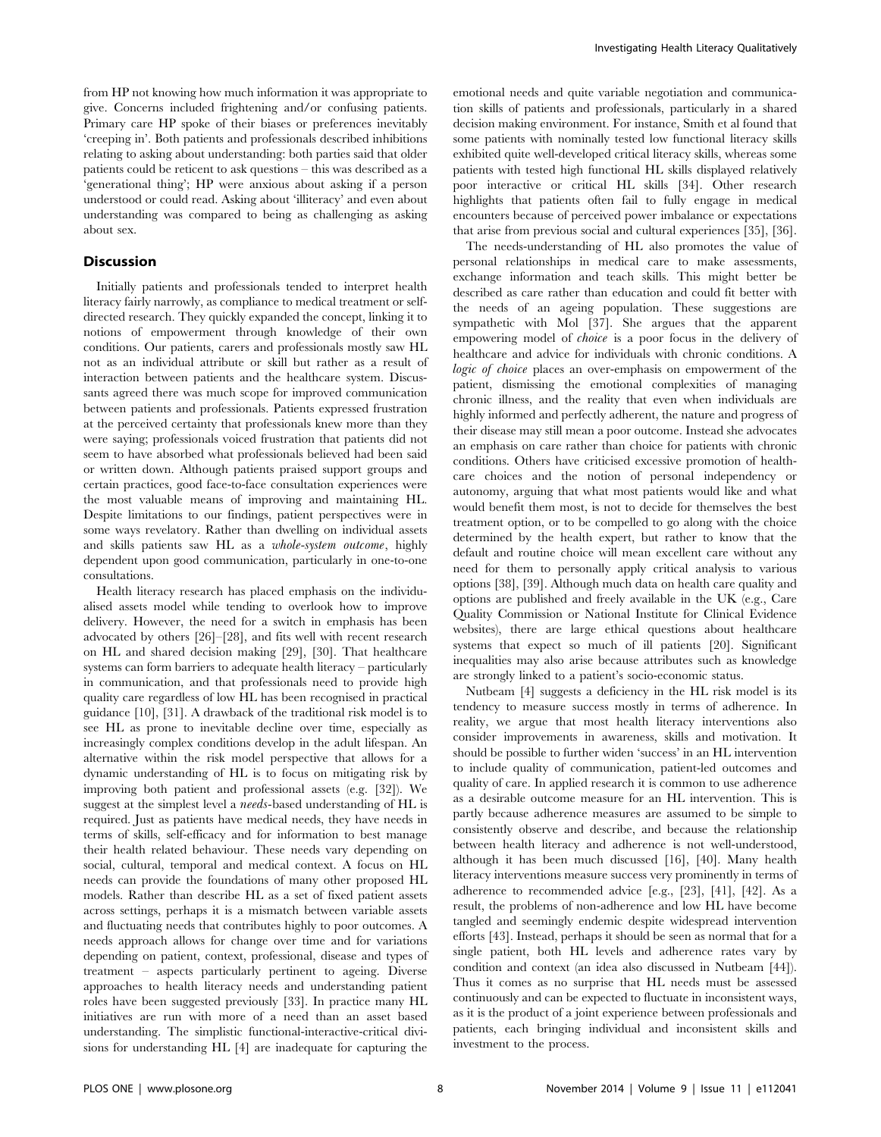from HP not knowing how much information it was appropriate to give. Concerns included frightening and/or confusing patients. Primary care HP spoke of their biases or preferences inevitably 'creeping in'. Both patients and professionals described inhibitions relating to asking about understanding: both parties said that older patients could be reticent to ask questions – this was described as a 'generational thing'; HP were anxious about asking if a person understood or could read. Asking about 'illiteracy' and even about understanding was compared to being as challenging as asking about sex.

## Discussion

Initially patients and professionals tended to interpret health literacy fairly narrowly, as compliance to medical treatment or selfdirected research. They quickly expanded the concept, linking it to notions of empowerment through knowledge of their own conditions. Our patients, carers and professionals mostly saw HL not as an individual attribute or skill but rather as a result of interaction between patients and the healthcare system. Discussants agreed there was much scope for improved communication between patients and professionals. Patients expressed frustration at the perceived certainty that professionals knew more than they were saying; professionals voiced frustration that patients did not seem to have absorbed what professionals believed had been said or written down. Although patients praised support groups and certain practices, good face-to-face consultation experiences were the most valuable means of improving and maintaining HL. Despite limitations to our findings, patient perspectives were in some ways revelatory. Rather than dwelling on individual assets and skills patients saw HL as a whole-system outcome, highly dependent upon good communication, particularly in one-to-one consultations.

Health literacy research has placed emphasis on the individualised assets model while tending to overlook how to improve delivery. However, the need for a switch in emphasis has been advocated by others [26]–[28], and fits well with recent research on HL and shared decision making [29], [30]. That healthcare systems can form barriers to adequate health literacy – particularly in communication, and that professionals need to provide high quality care regardless of low HL has been recognised in practical guidance [10], [31]. A drawback of the traditional risk model is to see HL as prone to inevitable decline over time, especially as increasingly complex conditions develop in the adult lifespan. An alternative within the risk model perspective that allows for a dynamic understanding of HL is to focus on mitigating risk by improving both patient and professional assets (e.g. [32]). We suggest at the simplest level a needs-based understanding of HL is required. Just as patients have medical needs, they have needs in terms of skills, self-efficacy and for information to best manage their health related behaviour. These needs vary depending on social, cultural, temporal and medical context. A focus on HL needs can provide the foundations of many other proposed HL models. Rather than describe HL as a set of fixed patient assets across settings, perhaps it is a mismatch between variable assets and fluctuating needs that contributes highly to poor outcomes. A needs approach allows for change over time and for variations depending on patient, context, professional, disease and types of treatment – aspects particularly pertinent to ageing. Diverse approaches to health literacy needs and understanding patient roles have been suggested previously [33]. In practice many HL initiatives are run with more of a need than an asset based understanding. The simplistic functional-interactive-critical divisions for understanding HL [4] are inadequate for capturing the

emotional needs and quite variable negotiation and communication skills of patients and professionals, particularly in a shared decision making environment. For instance, Smith et al found that some patients with nominally tested low functional literacy skills exhibited quite well-developed critical literacy skills, whereas some patients with tested high functional HL skills displayed relatively poor interactive or critical HL skills [34]. Other research highlights that patients often fail to fully engage in medical encounters because of perceived power imbalance or expectations that arise from previous social and cultural experiences [35], [36].

The needs-understanding of HL also promotes the value of personal relationships in medical care to make assessments, exchange information and teach skills. This might better be described as care rather than education and could fit better with the needs of an ageing population. These suggestions are sympathetic with Mol [37]. She argues that the apparent empowering model of choice is a poor focus in the delivery of healthcare and advice for individuals with chronic conditions. A logic of choice places an over-emphasis on empowerment of the patient, dismissing the emotional complexities of managing chronic illness, and the reality that even when individuals are highly informed and perfectly adherent, the nature and progress of their disease may still mean a poor outcome. Instead she advocates an emphasis on care rather than choice for patients with chronic conditions. Others have criticised excessive promotion of healthcare choices and the notion of personal independency or autonomy, arguing that what most patients would like and what would benefit them most, is not to decide for themselves the best treatment option, or to be compelled to go along with the choice determined by the health expert, but rather to know that the default and routine choice will mean excellent care without any need for them to personally apply critical analysis to various options [38], [39]. Although much data on health care quality and options are published and freely available in the UK (e.g., Care Quality Commission or National Institute for Clinical Evidence websites), there are large ethical questions about healthcare systems that expect so much of ill patients [20]. Significant inequalities may also arise because attributes such as knowledge are strongly linked to a patient's socio-economic status.

Nutbeam [4] suggests a deficiency in the HL risk model is its tendency to measure success mostly in terms of adherence. In reality, we argue that most health literacy interventions also consider improvements in awareness, skills and motivation. It should be possible to further widen 'success' in an HL intervention to include quality of communication, patient-led outcomes and quality of care. In applied research it is common to use adherence as a desirable outcome measure for an HL intervention. This is partly because adherence measures are assumed to be simple to consistently observe and describe, and because the relationship between health literacy and adherence is not well-understood, although it has been much discussed [16], [40]. Many health literacy interventions measure success very prominently in terms of adherence to recommended advice [e.g., [23], [41], [42]. As a result, the problems of non-adherence and low HL have become tangled and seemingly endemic despite widespread intervention efforts [43]. Instead, perhaps it should be seen as normal that for a single patient, both HL levels and adherence rates vary by condition and context (an idea also discussed in Nutbeam [44]). Thus it comes as no surprise that HL needs must be assessed continuously and can be expected to fluctuate in inconsistent ways, as it is the product of a joint experience between professionals and patients, each bringing individual and inconsistent skills and investment to the process.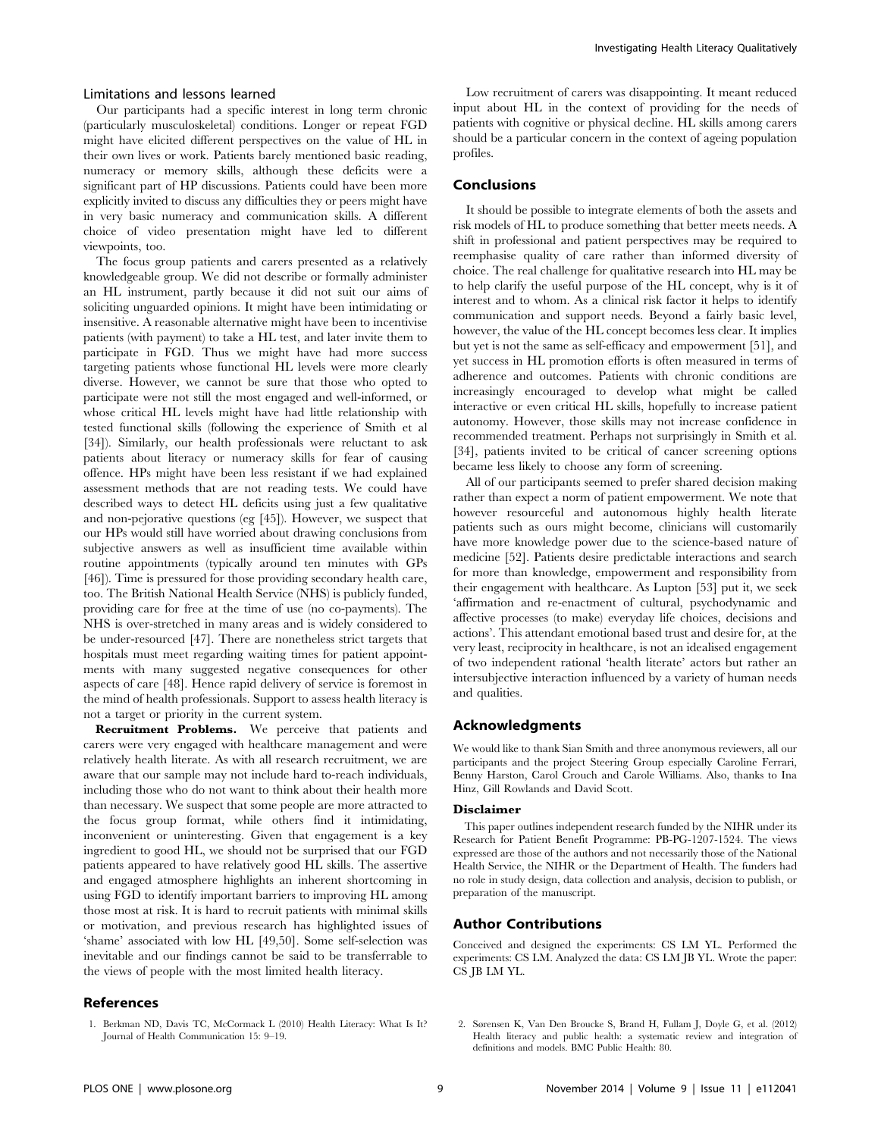#### Limitations and lessons learned

Our participants had a specific interest in long term chronic (particularly musculoskeletal) conditions. Longer or repeat FGD might have elicited different perspectives on the value of HL in their own lives or work. Patients barely mentioned basic reading, numeracy or memory skills, although these deficits were a significant part of HP discussions. Patients could have been more explicitly invited to discuss any difficulties they or peers might have in very basic numeracy and communication skills. A different choice of video presentation might have led to different viewpoints, too.

The focus group patients and carers presented as a relatively knowledgeable group. We did not describe or formally administer an HL instrument, partly because it did not suit our aims of soliciting unguarded opinions. It might have been intimidating or insensitive. A reasonable alternative might have been to incentivise patients (with payment) to take a HL test, and later invite them to participate in FGD. Thus we might have had more success targeting patients whose functional HL levels were more clearly diverse. However, we cannot be sure that those who opted to participate were not still the most engaged and well-informed, or whose critical HL levels might have had little relationship with tested functional skills (following the experience of Smith et al [34]). Similarly, our health professionals were reluctant to ask patients about literacy or numeracy skills for fear of causing offence. HPs might have been less resistant if we had explained assessment methods that are not reading tests. We could have described ways to detect HL deficits using just a few qualitative and non-pejorative questions (eg [45]). However, we suspect that our HPs would still have worried about drawing conclusions from subjective answers as well as insufficient time available within routine appointments (typically around ten minutes with GPs [46]). Time is pressured for those providing secondary health care, too. The British National Health Service (NHS) is publicly funded, providing care for free at the time of use (no co-payments). The NHS is over-stretched in many areas and is widely considered to be under-resourced [47]. There are nonetheless strict targets that hospitals must meet regarding waiting times for patient appointments with many suggested negative consequences for other aspects of care [48]. Hence rapid delivery of service is foremost in the mind of health professionals. Support to assess health literacy is not a target or priority in the current system.

Recruitment Problems. We perceive that patients and carers were very engaged with healthcare management and were relatively health literate. As with all research recruitment, we are aware that our sample may not include hard to-reach individuals, including those who do not want to think about their health more than necessary. We suspect that some people are more attracted to the focus group format, while others find it intimidating, inconvenient or uninteresting. Given that engagement is a key ingredient to good HL, we should not be surprised that our FGD patients appeared to have relatively good HL skills. The assertive and engaged atmosphere highlights an inherent shortcoming in using FGD to identify important barriers to improving HL among those most at risk. It is hard to recruit patients with minimal skills or motivation, and previous research has highlighted issues of 'shame' associated with low HL [49,50]. Some self-selection was inevitable and our findings cannot be said to be transferrable to the views of people with the most limited health literacy.

#### References

Low recruitment of carers was disappointing. It meant reduced input about HL in the context of providing for the needs of patients with cognitive or physical decline. HL skills among carers should be a particular concern in the context of ageing population profiles.

#### Conclusions

It should be possible to integrate elements of both the assets and risk models of HL to produce something that better meets needs. A shift in professional and patient perspectives may be required to reemphasise quality of care rather than informed diversity of choice. The real challenge for qualitative research into HL may be to help clarify the useful purpose of the HL concept, why is it of interest and to whom. As a clinical risk factor it helps to identify communication and support needs. Beyond a fairly basic level, however, the value of the HL concept becomes less clear. It implies but yet is not the same as self-efficacy and empowerment [51], and yet success in HL promotion efforts is often measured in terms of adherence and outcomes. Patients with chronic conditions are increasingly encouraged to develop what might be called interactive or even critical HL skills, hopefully to increase patient autonomy. However, those skills may not increase confidence in recommended treatment. Perhaps not surprisingly in Smith et al. [34], patients invited to be critical of cancer screening options became less likely to choose any form of screening.

All of our participants seemed to prefer shared decision making rather than expect a norm of patient empowerment. We note that however resourceful and autonomous highly health literate patients such as ours might become, clinicians will customarily have more knowledge power due to the science-based nature of medicine [52]. Patients desire predictable interactions and search for more than knowledge, empowerment and responsibility from their engagement with healthcare. As Lupton [53] put it, we seek 'affirmation and re-enactment of cultural, psychodynamic and affective processes (to make) everyday life choices, decisions and actions'. This attendant emotional based trust and desire for, at the very least, reciprocity in healthcare, is not an idealised engagement of two independent rational 'health literate' actors but rather an intersubjective interaction influenced by a variety of human needs and qualities.

# Acknowledgments

We would like to thank Sian Smith and three anonymous reviewers, all our participants and the project Steering Group especially Caroline Ferrari, Benny Harston, Carol Crouch and Carole Williams. Also, thanks to Ina Hinz, Gill Rowlands and David Scott.

#### Disclaimer

This paper outlines independent research funded by the NIHR under its Research for Patient Benefit Programme: PB-PG-1207-1524. The views expressed are those of the authors and not necessarily those of the National Health Service, the NIHR or the Department of Health. The funders had no role in study design, data collection and analysis, decision to publish, or preparation of the manuscript.

# Author Contributions

Conceived and designed the experiments: CS LM YL. Performed the experiments: CS LM. Analyzed the data: CS LM JB YL. Wrote the paper: CS JB LM YL.

1. Berkman ND, Davis TC, McCormack L (2010) Health Literacy: What Is It? Journal of Health Communication 15: 9–19.

<sup>2.</sup> Sørensen K, Van Den Broucke S, Brand H, Fullam J, Doyle G, et al. (2012) Health literacy and public health: a systematic review and integration of definitions and models. BMC Public Health: 80.